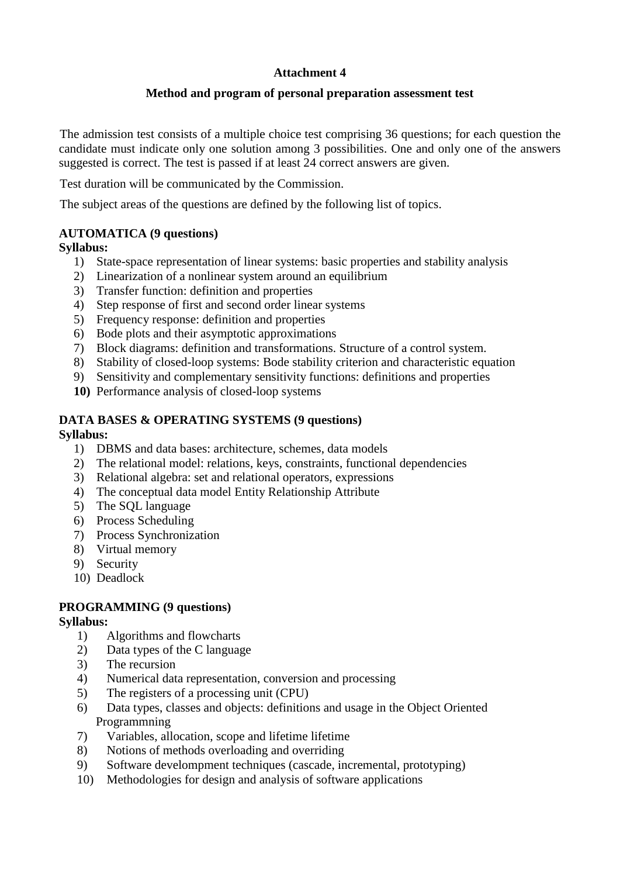# **Attachment 4**

## **Method and program of personal preparation assessment test**

The admission test consists of a multiple choice test comprising 36 questions; for each question the candidate must indicate only one solution among 3 possibilities. One and only one of the answers suggested is correct. The test is passed if at least 24 correct answers are given.

Test duration will be communicated by the Commission.

The subject areas of the questions are defined by the following list of topics.

# **AUTOMATICA (9 questions)**

**Syllabus:** 

- 1) State-space representation of linear systems: basic properties and stability analysis
- 2) Linearization of a nonlinear system around an equilibrium
- 3) Transfer function: definition and properties
- 4) Step response of first and second order linear systems
- 5) Frequency response: definition and properties
- 6) Bode plots and their asymptotic approximations
- 7) Block diagrams: definition and transformations. Structure of a control system.
- 8) Stability of closed-loop systems: Bode stability criterion and characteristic equation
- 9) Sensitivity and complementary sensitivity functions: definitions and properties
- **10)** Performance analysis of closed-loop systems

### **DATA BASES & OPERATING SYSTEMS (9 questions)**

**Syllabus:**

- 1) DBMS and data bases: architecture, schemes, data models
- 2) The relational model: relations, keys, constraints, functional dependencies
- 3) Relational algebra: set and relational operators, expressions
- 4) The conceptual data model Entity Relationship Attribute
- 5) The SQL language
- 6) Process Scheduling
- 7) Process Synchronization
- 8) Virtual memory
- 9) Security
- 10) Deadlock

# **PROGRAMMING (9 questions)**

- **Syllabus:**
	- 1) Algorithms and flowcharts
	- 2) Data types of the C language
	- 3) The recursion
	- 4) Numerical data representation, conversion and processing
	- 5) The registers of a processing unit (CPU)
	- 6) Data types, classes and objects: definitions and usage in the Object Oriented Programmning
	- 7) Variables, allocation, scope and lifetime lifetime
	- 8) Notions of methods overloading and overriding
	- 9) Software develompment techniques (cascade, incremental, prototyping)
	- 10) Methodologies for design and analysis of software applications